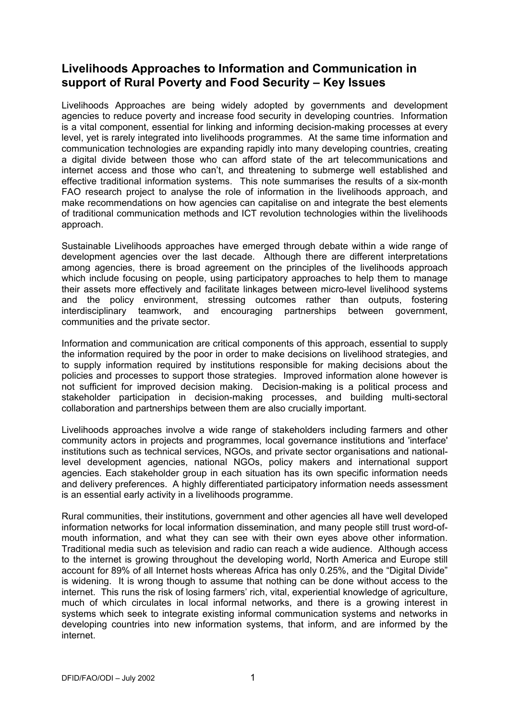# **Livelihoods Approaches to Information and Communication in support of Rural Poverty and Food Security – Key Issues**

Livelihoods Approaches are being widely adopted by governments and development agencies to reduce poverty and increase food security in developing countries. Information is a vital component, essential for linking and informing decision-making processes at every level, yet is rarely integrated into livelihoods programmes. At the same time information and communication technologies are expanding rapidly into many developing countries, creating a digital divide between those who can afford state of the art telecommunications and internet access and those who can't, and threatening to submerge well established and effective traditional information systems. This note summarises the results of a six-month FAO research project to analyse the role of information in the livelihoods approach, and make recommendations on how agencies can capitalise on and integrate the best elements of traditional communication methods and ICT revolution technologies within the livelihoods approach.

Sustainable Livelihoods approaches have emerged through debate within a wide range of development agencies over the last decade. Although there are different interpretations among agencies, there is broad agreement on the principles of the livelihoods approach which include focusing on people, using participatory approaches to help them to manage their assets more effectively and facilitate linkages between micro-level livelihood systems and the policy environment, stressing outcomes rather than outputs, fostering interdisciplinary teamwork, and encouraging partnerships between government, communities and the private sector.

Information and communication are critical components of this approach, essential to supply the information required by the poor in order to make decisions on livelihood strategies, and to supply information required by institutions responsible for making decisions about the policies and processes to support those strategies. Improved information alone however is not sufficient for improved decision making. Decision-making is a political process and stakeholder participation in decision-making processes, and building multi-sectoral collaboration and partnerships between them are also crucially important.

Livelihoods approaches involve a wide range of stakeholders including farmers and other community actors in projects and programmes, local governance institutions and 'interface' institutions such as technical services, NGOs, and private sector organisations and nationallevel development agencies, national NGOs, policy makers and international support agencies. Each stakeholder group in each situation has its own specific information needs and delivery preferences. A highly differentiated participatory information needs assessment is an essential early activity in a livelihoods programme.

Rural communities, their institutions, government and other agencies all have well developed information networks for local information dissemination, and many people still trust word-ofmouth information, and what they can see with their own eyes above other information. Traditional media such as television and radio can reach a wide audience. Although access to the internet is growing throughout the developing world, North America and Europe still account for 89% of all Internet hosts whereas Africa has only 0.25%, and the "Digital Divide" is widening. It is wrong though to assume that nothing can be done without access to the internet. This runs the risk of losing farmers' rich, vital, experiential knowledge of agriculture, much of which circulates in local informal networks, and there is a growing interest in systems which seek to integrate existing informal communication systems and networks in developing countries into new information systems, that inform, and are informed by the internet.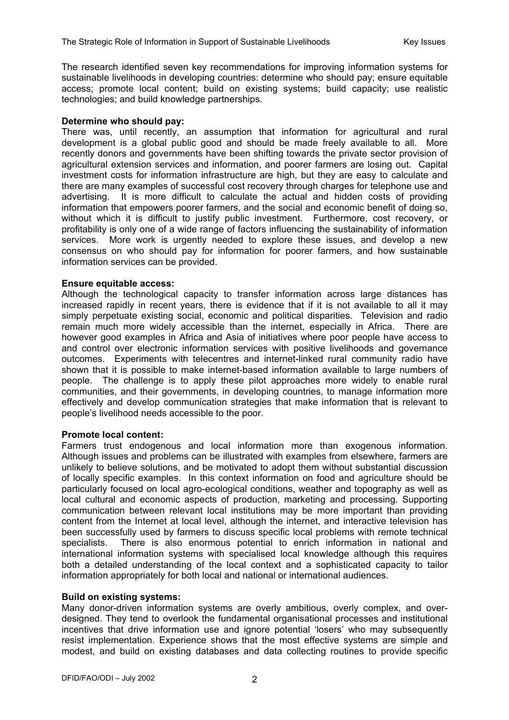The research identified seven key recommendations for improving information systems for sustainable livelihoods in developing countries: determine who should pay; ensure equitable access; promote local content; build on existing systems; build capacity; use realistic technologies; and build knowledge partnerships.

#### **Determine who should pay:**

There was, until recently, an assumption that information for agricultural and rural development is a global public good and should be made freely available to all. More recently donors and governments have been shifting towards the private sector provision of agricultural extension services and information, and poorer farmers are losing out. Capital investment costs for information infrastructure are high, but they are easy to calculate and there are many examples of successful cost recovery through charges for telephone use and advertising. It is more difficult to calculate the actual and hidden costs of providing information that empowers poorer farmers, and the social and economic benefit of doing so, without which it is difficult to justify public investment. Furthermore, cost recovery, or profitability is only one of a wide range of factors influencing the sustainability of information services. More work is urgently needed to explore these issues, and develop a new consensus on who should pay for information for poorer farmers, and how sustainable information services can be provided.

## **Ensure equitable access:**

Although the technological capacity to transfer information across large distances has increased rapidly in recent years, there is evidence that if it is not available to all it may simply perpetuate existing social, economic and political disparities. Television and radio remain much more widely accessible than the internet, especially in Africa. There are however good examples in Africa and Asia of initiatives where poor people have access to and control over electronic information services with positive livelihoods and governance outcomes. Experiments with telecentres and internet-linked rural community radio have shown that it is possible to make internet-based information available to large numbers of people. The challenge is to apply these pilot approaches more widely to enable rural communities, and their governments, in developing countries, to manage information more effectively and develop communication strategies that make information that is relevant to people's livelihood needs accessible to the poor.

## **Promote local content:**

Farmers trust endogenous and local information more than exogenous information. Although issues and problems can be illustrated with examples from elsewhere, farmers are unlikely to believe solutions, and be motivated to adopt them without substantial discussion of locally specific examples. In this context information on food and agriculture should be particularly focused on local agro-ecological conditions, weather and topography as well as local cultural and economic aspects of production, marketing and processing. Supporting communication between relevant local institutions may be more important than providing content from the Internet at local level, although the internet, and interactive television has been successfully used by farmers to discuss specific local problems with remote technical specialists. There is also enormous potential to enrich information in national and international information systems with specialised local knowledge although this requires both a detailed understanding of the local context and a sophisticated capacity to tailor information appropriately for both local and national or international audiences.

## **Build on existing systems:**

Many donor-driven information systems are overly ambitious, overly complex, and overdesigned. They tend to overlook the fundamental organisational processes and institutional incentives that drive information use and ignore potential 'losers' who may subsequently resist implementation. Experience shows that the most effective systems are simple and modest, and build on existing databases and data collecting routines to provide specific